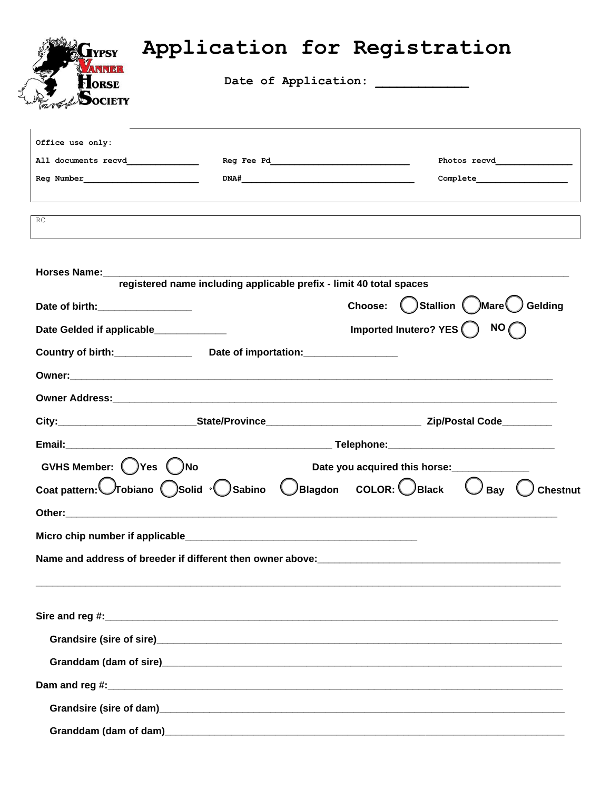| <b>ANNER</b><br><b>FLORSE</b><br>SOCIETY                    |                                                                     | Date of Application: |                                                                                                                                                                                                                                                                                                                                                                                                                                                                                                                                                                                                                   |
|-------------------------------------------------------------|---------------------------------------------------------------------|----------------------|-------------------------------------------------------------------------------------------------------------------------------------------------------------------------------------------------------------------------------------------------------------------------------------------------------------------------------------------------------------------------------------------------------------------------------------------------------------------------------------------------------------------------------------------------------------------------------------------------------------------|
| Office use only:                                            |                                                                     |                      |                                                                                                                                                                                                                                                                                                                                                                                                                                                                                                                                                                                                                   |
|                                                             |                                                                     |                      |                                                                                                                                                                                                                                                                                                                                                                                                                                                                                                                                                                                                                   |
|                                                             |                                                                     |                      | $\texttt{Complete}\underline{\hspace{2cm}}\underline{\hspace{2cm}}\underline{\hspace{2cm}}\underline{\hspace{2cm}}\underline{\hspace{2cm}}\underline{\hspace{2cm}}\underline{\hspace{2cm}}\underline{\hspace{2cm}}\underline{\hspace{2cm}}\underline{\hspace{2cm}}\underline{\hspace{2cm}}\underline{\hspace{2cm}}\underline{\hspace{2cm}}\underline{\hspace{2cm}}\underline{\hspace{2cm}}\underline{\hspace{2cm}}\underline{\hspace{2cm}}\underline{\hspace{2cm}}\underline{\hspace{2cm}}\underline{\hspace{2cm}}\underline{\hspace{2cm}}\underline{\hspace{2cm}}\underline{\hspace{2cm}}\underline{\hspace{2cm$ |
| RC                                                          |                                                                     |                      |                                                                                                                                                                                                                                                                                                                                                                                                                                                                                                                                                                                                                   |
| Horses Name:_________                                       | registered name including applicable prefix - limit 40 total spaces |                      |                                                                                                                                                                                                                                                                                                                                                                                                                                                                                                                                                                                                                   |
| Date of birth: Date of birth:                               |                                                                     |                      | Choose: <b>Callion</b> ( ) Mare Gelding                                                                                                                                                                                                                                                                                                                                                                                                                                                                                                                                                                           |
| Date Gelded if applicable_____________                      |                                                                     |                      | Imported Inutero? YES $\bigcap$ NO $\bigcap$                                                                                                                                                                                                                                                                                                                                                                                                                                                                                                                                                                      |
| Country of birth: Date of importation: Country of birth:    |                                                                     |                      |                                                                                                                                                                                                                                                                                                                                                                                                                                                                                                                                                                                                                   |
|                                                             |                                                                     |                      |                                                                                                                                                                                                                                                                                                                                                                                                                                                                                                                                                                                                                   |
|                                                             |                                                                     |                      |                                                                                                                                                                                                                                                                                                                                                                                                                                                                                                                                                                                                                   |
|                                                             |                                                                     |                      |                                                                                                                                                                                                                                                                                                                                                                                                                                                                                                                                                                                                                   |
|                                                             |                                                                     |                      |                                                                                                                                                                                                                                                                                                                                                                                                                                                                                                                                                                                                                   |
| GVHS Member: ( ) Yes ( ) No                                 |                                                                     |                      | Date you acquired this horse:                                                                                                                                                                                                                                                                                                                                                                                                                                                                                                                                                                                     |
| Coat pattern: Tobiano Solid · Sabino UBlagdon COLOR: UBlack |                                                                     |                      | <b>Chestnut</b><br>Bay                                                                                                                                                                                                                                                                                                                                                                                                                                                                                                                                                                                            |
|                                                             |                                                                     |                      |                                                                                                                                                                                                                                                                                                                                                                                                                                                                                                                                                                                                                   |
|                                                             |                                                                     |                      |                                                                                                                                                                                                                                                                                                                                                                                                                                                                                                                                                                                                                   |
|                                                             |                                                                     |                      |                                                                                                                                                                                                                                                                                                                                                                                                                                                                                                                                                                                                                   |
|                                                             |                                                                     |                      |                                                                                                                                                                                                                                                                                                                                                                                                                                                                                                                                                                                                                   |
|                                                             |                                                                     |                      |                                                                                                                                                                                                                                                                                                                                                                                                                                                                                                                                                                                                                   |
|                                                             |                                                                     |                      |                                                                                                                                                                                                                                                                                                                                                                                                                                                                                                                                                                                                                   |
|                                                             |                                                                     |                      |                                                                                                                                                                                                                                                                                                                                                                                                                                                                                                                                                                                                                   |
|                                                             |                                                                     |                      |                                                                                                                                                                                                                                                                                                                                                                                                                                                                                                                                                                                                                   |